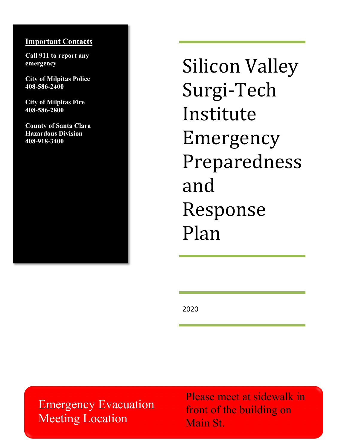### **Important Contacts**

**Call 911 to report any emergency**

**City of Milpitas Police 408-586-2400**

**City of Milpitas Fire 408-586-2800**

**County of Santa Clara Hazardous Division 408-918-3400**

Silicon Valley Surgi-Tech Institute Emergency Preparedness and Response Plan

2020

Emergency Evacuation Meeting Location

Please meet at sidewalk in front of the building on Main St.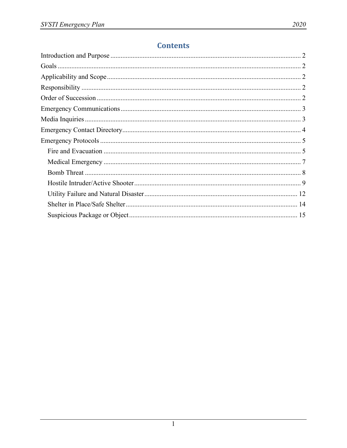# **Contents**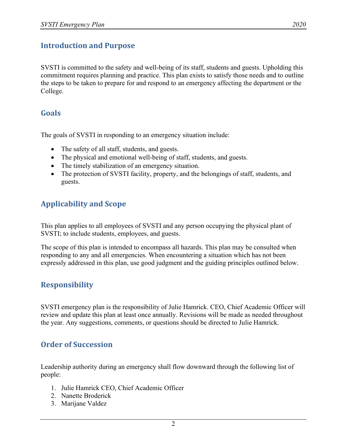# <span id="page-2-0"></span>**Introduction and Purpose**

SVSTI is committed to the safety and well-being of its staff, students and guests. Upholding this commitment requires planning and practice. This plan exists to satisfy those needs and to outline the steps to be taken to prepare for and respond to an emergency affecting the department or the College.

## <span id="page-2-1"></span>**Goals**

The goals of SVSTI in responding to an emergency situation include:

- The safety of all staff, students, and guests.
- The physical and emotional well-being of staff, students, and guests.
- The timely stabilization of an emergency situation.
- The protection of SVSTI facility, property, and the belongings of staff, students, and guests.

# <span id="page-2-2"></span>**Applicability and Scope**

This plan applies to all employees of SVSTI and any person occupying the physical plant of SVSTI; to include students, employees, and guests.

The scope of this plan is intended to encompass all hazards. This plan may be consulted when responding to any and all emergencies. When encountering a situation which has not been expressly addressed in this plan, use good judgment and the guiding principles outlined below.

# <span id="page-2-3"></span>**Responsibility**

SVSTI emergency plan is the responsibility of Julie Hamrick. CEO, Chief Academic Officer will review and update this plan at least once annually. Revisions will be made as needed throughout the year. Any suggestions, comments, or questions should be directed to Julie Hamrick.

# <span id="page-2-4"></span>**Order of Succession**

Leadership authority during an emergency shall flow downward through the following list of people:

- 1. Julie Hamrick CEO, Chief Academic Officer
- 2. Nanette Broderick
- 3. Marijane Valdez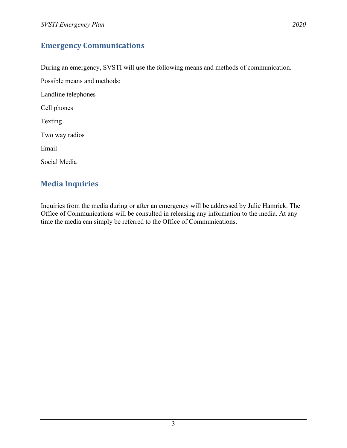# <span id="page-3-0"></span>**Emergency Communications**

During an emergency, SVSTI will use the following means and methods of communication.

Possible means and methods:

Landline telephones

Cell phones

Texting

Two way radios

Email

Social Media

# <span id="page-3-1"></span>**Media Inquiries**

Inquiries from the media during or after an emergency will be addressed by Julie Hamrick. The Office of Communications will be consulted in releasing any information to the media. At any time the media can simply be referred to the Office of Communications.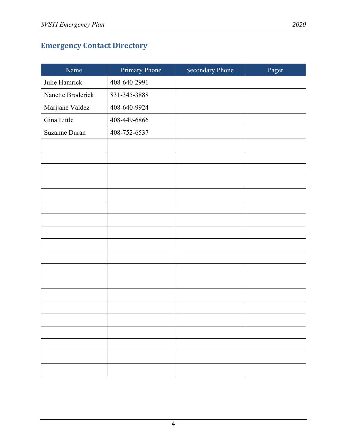# <span id="page-4-0"></span>**Emergency Contact Directory**

| Name              | Primary Phone | <b>Secondary Phone</b> | Pager |
|-------------------|---------------|------------------------|-------|
| Julie Hamrick     | 408-640-2991  |                        |       |
| Nanette Broderick | 831-345-3888  |                        |       |
| Marijane Valdez   | 408-640-9924  |                        |       |
| Gina Little       | 408-449-6866  |                        |       |
| Suzanne Duran     | 408-752-6537  |                        |       |
|                   |               |                        |       |
|                   |               |                        |       |
|                   |               |                        |       |
|                   |               |                        |       |
|                   |               |                        |       |
|                   |               |                        |       |
|                   |               |                        |       |
|                   |               |                        |       |
|                   |               |                        |       |
|                   |               |                        |       |
|                   |               |                        |       |
|                   |               |                        |       |
|                   |               |                        |       |
|                   |               |                        |       |
|                   |               |                        |       |
|                   |               |                        |       |
|                   |               |                        |       |
|                   |               |                        |       |
|                   |               |                        |       |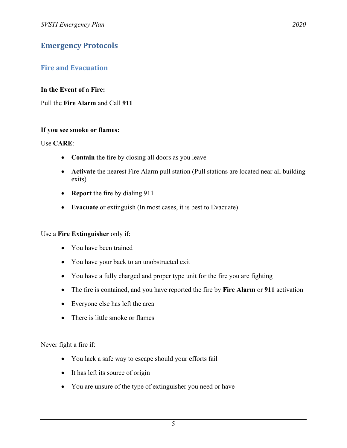# <span id="page-5-0"></span>**Emergency Protocols**

## <span id="page-5-1"></span>**Fire and Evacuation**

#### **In the Event of a Fire:**

Pull the **Fire Alarm** and Call **911**

#### **If you see smoke or flames:**

#### Use **CARE**:

- **Contain** the fire by closing all doors as you leave
- **Activate** the nearest Fire Alarm pull station (Pull stations are located near all building exits)
- **Report** the fire by dialing 911
- **Evacuate** or extinguish (In most cases, it is best to Evacuate)

#### Use a **Fire Extinguisher** only if:

- You have been trained
- You have your back to an unobstructed exit
- You have a fully charged and proper type unit for the fire you are fighting
- The fire is contained, and you have reported the fire by **Fire Alarm** or **911** activation
- Everyone else has left the area
- There is little smoke or flames

Never fight a fire if:

- You lack a safe way to escape should your efforts fail
- It has left its source of origin
- You are unsure of the type of extinguisher you need or have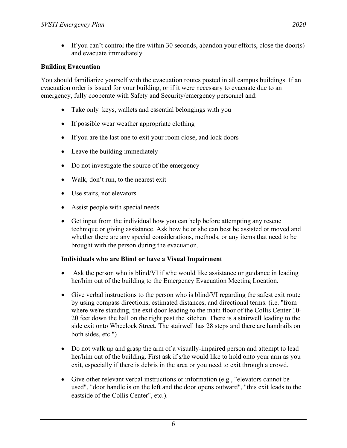• If you can't control the fire within 30 seconds, abandon your efforts, close the door(s) and evacuate immediately.

#### **Building Evacuation**

You should familiarize yourself with the evacuation routes posted in all campus buildings. If an evacuation order is issued for your building, or if it were necessary to evacuate due to an emergency, fully cooperate with Safety and Security/emergency personnel and:

- Take only keys, wallets and essential belongings with you
- If possible wear weather appropriate clothing
- If you are the last one to exit your room close, and lock doors
- Leave the building immediately
- Do not investigate the source of the emergency
- Walk, don't run, to the nearest exit
- Use stairs, not elevators
- Assist people with special needs
- Get input from the individual how you can help before attempting any rescue technique or giving assistance. Ask how he or she can best be assisted or moved and whether there are any special considerations, methods, or any items that need to be brought with the person during the evacuation.

#### **Individuals who are Blind or have a Visual Impairment**

- Ask the person who is blind/VI if s/he would like assistance or guidance in leading her/him out of the building to the Emergency Evacuation Meeting Location.
- Give verbal instructions to the person who is blind/VI regarding the safest exit route by using compass directions, estimated distances, and directional terms. (i.e. "from where we're standing, the exit door leading to the main floor of the Collis Center 10- 20 feet down the hall on the right past the kitchen. There is a stairwell leading to the side exit onto Wheelock Street. The stairwell has 28 steps and there are handrails on both sides, etc.")
- Do not walk up and grasp the arm of a visually-impaired person and attempt to lead her/him out of the building. First ask if s/he would like to hold onto your arm as you exit, especially if there is debris in the area or you need to exit through a crowd.
- Give other relevant verbal instructions or information (e.g., "elevators cannot be used", "door handle is on the left and the door opens outward", "this exit leads to the eastside of the Collis Center", etc.).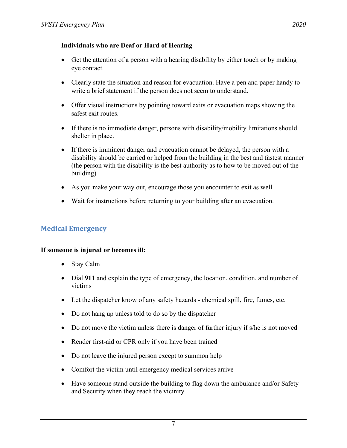#### **Individuals who are Deaf or Hard of Hearing**

- Get the attention of a person with a hearing disability by either touch or by making eye contact.
- Clearly state the situation and reason for evacuation. Have a pen and paper handy to write a brief statement if the person does not seem to understand.
- Offer visual instructions by pointing toward exits or evacuation maps showing the safest exit routes.
- If there is no immediate danger, persons with disability/mobility limitations should shelter in place.
- If there is imminent danger and evacuation cannot be delayed, the person with a disability should be carried or helped from the building in the best and fastest manner (the person with the disability is the best authority as to how to be moved out of the building)
- As you make your way out, encourage those you encounter to exit as well
- Wait for instructions before returning to your building after an evacuation.

## <span id="page-7-0"></span>**Medical Emergency**

#### **If someone is injured or becomes ill:**

- Stay Calm
- Dial **911** and explain the type of emergency, the location, condition, and number of victims
- Let the dispatcher know of any safety hazards chemical spill, fire, fumes, etc.
- Do not hang up unless told to do so by the dispatcher
- Do not move the victim unless there is danger of further injury if s/he is not moved
- Render first-aid or CPR only if you have been trained
- Do not leave the injured person except to summon help
- Comfort the victim until emergency medical services arrive
- Have someone stand outside the building to flag down the ambulance and/or Safety and Security when they reach the vicinity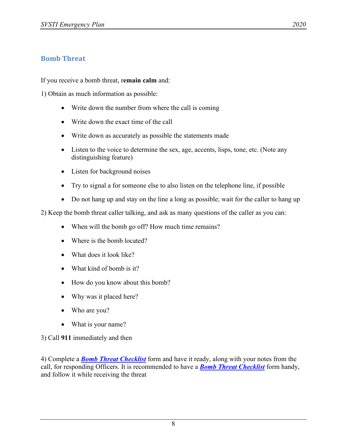## <span id="page-8-0"></span>**Bomb Threat**

If you receive a bomb threat, r**emain calm** and:

1) Obtain as much information as possible:

- Write down the number from where the call is coming
- Write down the exact time of the call
- Write down as accurately as possible the statements made
- Listen to the voice to determine the sex, age, accents, lisps, tone, etc. (Note any distinguishing feature)
- Listen for background noises
- Try to signal a for someone else to also listen on the telephone line, if possible
- Do not hang up and stay on the line a long as possible; wait for the caller to hang up

2) Keep the bomb threat caller talking, and ask as many questions of the caller as you can:

- When will the bomb go off? How much time remains?
- Where is the bomb located?
- What does it look like?
- What kind of bomb is it?
- How do you know about this bomb?
- Why was it placed here?
- Who are you?
- What is your name?

3) Call **911** immediately and then

4) Complete a *[Bomb Threat Checklist](http://www.dartmouth.edu/%7Esecurity/docs/Bomb%20Threat%20Checklist%20Form.pdf)* form and have it ready, along with your notes from the call, for responding Officers. It is recommended to have a *[Bomb Threat Checklist](http://www.dartmouth.edu/%7Esecurity/docs/Bomb%20Threat%20Checklist%20Form.pdf)* form handy, and follow it while receiving the threat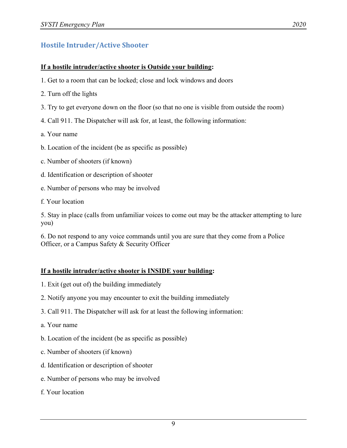# <span id="page-9-0"></span>**Hostile Intruder/Active Shooter**

#### **If a hostile intruder/active shooter is Outside your building:**

- 1. Get to a room that can be locked; close and lock windows and doors
- 2. Turn off the lights
- 3. Try to get everyone down on the floor (so that no one is visible from outside the room)
- 4. Call 911. The Dispatcher will ask for, at least, the following information:
- a. Your name
- b. Location of the incident (be as specific as possible)
- c. Number of shooters (if known)
- d. Identification or description of shooter
- e. Number of persons who may be involved
- f. Your location

5. Stay in place (calls from unfamiliar voices to come out may be the attacker attempting to lure you)

6. Do not respond to any voice commands until you are sure that they come from a Police Officer, or a Campus Safety & Security Officer

#### **If a hostile intruder/active shooter is INSIDE your building:**

- 1. Exit (get out of) the building immediately
- 2. Notify anyone you may encounter to exit the building immediately
- 3. Call 911. The Dispatcher will ask for at least the following information:
- a. Your name
- b. Location of the incident (be as specific as possible)
- c. Number of shooters (if known)
- d. Identification or description of shooter
- e. Number of persons who may be involved
- f. Your location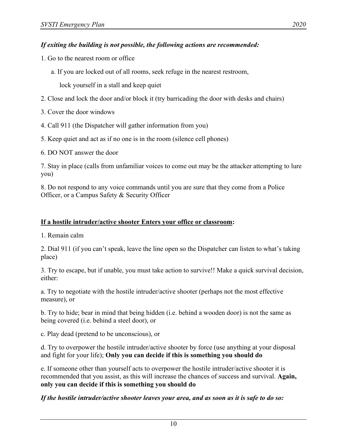- 1. Go to the nearest room or office
	- a. If you are locked out of all rooms, seek refuge in the nearest restroom,

lock yourself in a stall and keep quiet

- 2. Close and lock the door and/or block it (try barricading the door with desks and chairs)
- 3. Cover the door windows
- 4. Call 911 (the Dispatcher will gather information from you)
- 5. Keep quiet and act as if no one is in the room (silence cell phones)
- 6. DO NOT answer the door

7. Stay in place (calls from unfamiliar voices to come out may be the attacker attempting to lure you)

8. Do not respond to any voice commands until you are sure that they come from a Police Officer, or a Campus Safety & Security Officer

## **If a hostile intruder/active shooter Enters your office or classroom:**

1. Remain calm

2. Dial 911 (if you can't speak, leave the line open so the Dispatcher can listen to what's taking place)

3. Try to escape, but if unable, you must take action to survive!! Make a quick survival decision, either:

a. Try to negotiate with the hostile intruder/active shooter (perhaps not the most effective measure), or

b. Try to hide; bear in mind that being hidden (i.e. behind a wooden door) is not the same as being covered (i.e. behind a steel door), or

c. Play dead (pretend to be unconscious), or

d. Try to overpower the hostile intruder/active shooter by force (use anything at your disposal and fight for your life); **Only you can decide if this is something you should do**

e. If someone other than yourself acts to overpower the hostile intruder/active shooter it is recommended that you assist, as this will increase the chances of success and survival. **Again, only you can decide if this is something you should do**

## *If the hostile intruder/active shooter leaves your area, and as soon as it is safe to do so:*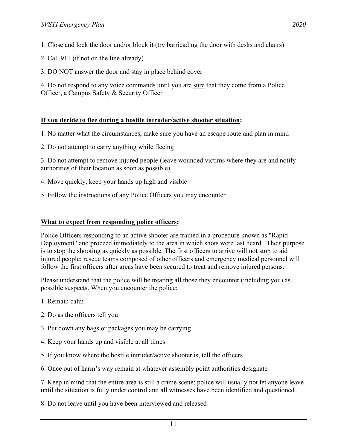1. Close and lock the door and/or block it (try barricading the door with desks and chairs)

2. Call 911 (if not on the line already)

3. DO NOT answer the door and stay in place behind cover

4. Do not respond to any voice commands until you are <u>sure</u> that they come from a Police Officer, a Campus Safety & Security Officer

## **If you decide to flee during a hostile intruder/active shooter situation:**

1. No matter what the circumstances, make sure you have an escape route and plan in mind

2. Do not attempt to carry anything while fleeing

3. Do not attempt to remove injured people (leave wounded victims where they are and notify authorities of their location as soon as possible)

- 4. Move quickly, keep your hands up high and visible
- 5. Follow the instructions of any Police Officers you may encounter

## **What to expect from responding police officers:**

Police Officers responding to an active shooter are trained in a procedure known as "Rapid Deployment" and proceed immediately to the area in which shots were last heard. Their purpose is to stop the shooting as quickly as possible. The first officers to arrive will not stop to aid injured people; rescue teams composed of other officers and emergency medical personnel will follow the first officers after areas have been secured to treat and remove injured persons.

Please understand that the police will be treating all those they encounter (including you) as possible suspects. When you encounter the police:

- 1. Remain calm
- 2. Do as the officers tell you
- 3. Put down any bags or packages you may be carrying
- 4. Keep your hands up and visible at all times
- 5. If you know where the hostile intruder/active shooter is, tell the officers
- 6. Once out of harm's way remain at whatever assembly point authorities designate

7. Keep in mind that the entire area is still a crime scene; police will usually not let anyone leave until the situation is fully under control and all witnesses have been identified and questioned

8. Do not leave until you have been interviewed and released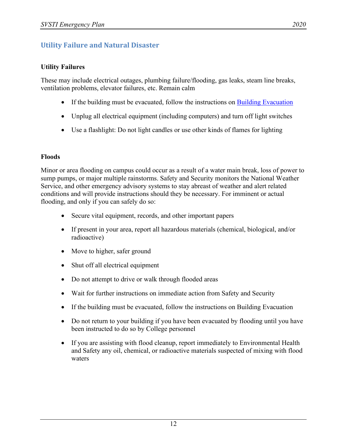# <span id="page-12-0"></span>**Utility Failure and Natural Disaster**

## **Utility Failures**

These may include electrical outages, plumbing failure/flooding, gas leaks, steam line breaks, ventilation problems, elevator failures, etc. Remain calm

- If the building must be evacuated, follow the instructions on **Building Evacuation**
- Unplug all electrical equipment (including computers) and turn off light switches
- Use a flashlight: Do not light candles or use other kinds of flames for lighting

## **Floods**

Minor or area flooding on campus could occur as a result of a water main break, loss of power to sump pumps, or major multiple rainstorms. Safety and Security monitors the National Weather Service, and other emergency advisory systems to stay abreast of weather and alert related conditions and will provide instructions should they be necessary. For imminent or actual flooding, and only if you can safely do so:

- Secure vital equipment, records, and other important papers
- If present in your area, report all hazardous materials (chemical, biological, and/or radioactive)
- Move to higher, safer ground
- Shut off all electrical equipment
- Do not attempt to drive or walk through flooded areas
- Wait for further instructions on immediate action from Safety and Security
- If the building must be evacuated, follow the instructions on Building Evacuation
- Do not return to your building if you have been evacuated by flooding until you have been instructed to do so by College personnel
- If you are assisting with flood cleanup, report immediately to Environmental Health and Safety any oil, chemical, or radioactive materials suspected of mixing with flood waters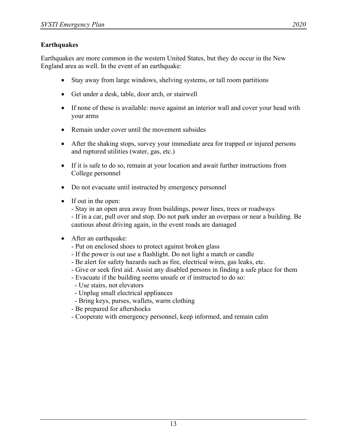Earthquakes are more common in the western United States, but they do occur in the New England area as well. In the event of an earthquake:

- Stay away from large windows, shelving systems, or tall room partitions
- Get under a desk, table, door arch, or stairwell
- If none of these is available: move against an interior wall and cover your head with your arms
- Remain under cover until the movement subsides
- After the shaking stops, survey your immediate area for trapped or injured persons and ruptured utilities (water, gas, etc.)
- If it is safe to do so, remain at your location and await further instructions from College personnel
- Do not evacuate until instructed by emergency personnel
- If out in the open:

- Stay in an open area away from buildings, power lines, trees or roadways - If in a car, pull over and stop. Do not park under an overpass or near a building. Be cautious about driving again, in the event roads are damaged

- <span id="page-13-0"></span>• After an earthquake:
	- Put on enclosed shoes to protect against broken glass
	- If the power is out use a flashlight. Do not light a match or candle
	- Be alert for safety hazards such as fire, electrical wires, gas leaks, etc.
	- Give or seek first aid. Assist any disabled persons in finding a safe place for them
	- Evacuate if the building seems unsafe or if instructed to do so:
	- Use stairs, not elevators
	- Unplug small electrical appliances
	- Bring keys, purses, wallets, warm clothing
	- Be prepared for aftershocks
	- Cooperate with emergency personnel, keep informed, and remain calm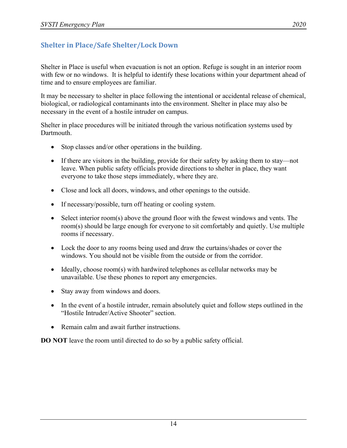Shelter in Place is useful when evacuation is not an option. Refuge is sought in an interior room with few or no windows. It is helpful to identify these locations within your department ahead of time and to ensure employees are familiar.

It may be necessary to shelter in place following the intentional or accidental release of chemical, biological, or radiological contaminants into the environment. Shelter in place may also be necessary in the event of a hostile intruder on campus.

Shelter in place procedures will be initiated through the various notification systems used by Dartmouth.

- Stop classes and/or other operations in the building.
- If there are visitors in the building, provide for their safety by asking them to stay—not leave. When public safety officials provide directions to shelter in place, they want everyone to take those steps immediately, where they are.
- Close and lock all doors, windows, and other openings to the outside.
- If necessary/possible, turn off heating or cooling system.
- Select interior room(s) above the ground floor with the fewest windows and vents. The room(s) should be large enough for everyone to sit comfortably and quietly. Use multiple rooms if necessary.
- Lock the door to any rooms being used and draw the curtains/shades or cover the windows. You should not be visible from the outside or from the corridor.
- Ideally, choose room(s) with hardwired telephones as cellular networks may be unavailable. Use these phones to report any emergencies.
- Stay away from windows and doors.
- In the event of a hostile intruder, remain absolutely quiet and follow steps outlined in the "Hostile Intruder/Active Shooter" section.
- Remain calm and await further instructions.

<span id="page-14-0"></span>**DO NOT** leave the room until directed to do so by a public safety official.